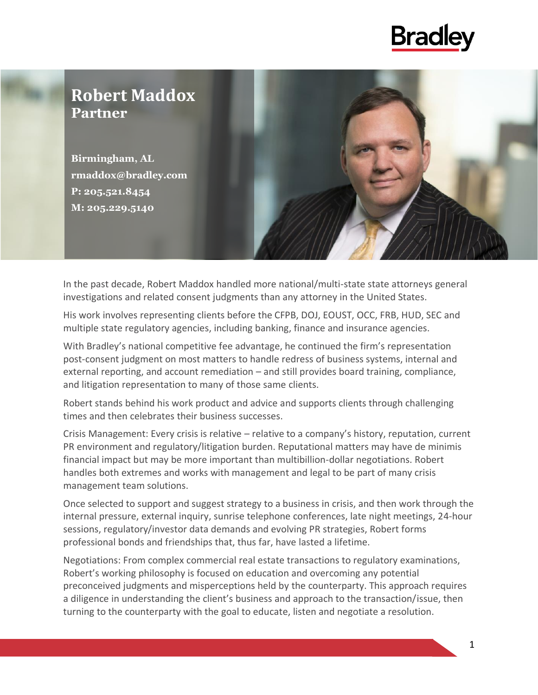

# **Robert Maddox Partner**

**Birmingham, AL rmaddox@bradley.com P: 205.521.8454 M: 205.229.5140**



In the past decade, Robert Maddox handled more national/multi-state state attorneys general investigations and related consent judgments than any attorney in the United States.

His work involves representing clients before the CFPB, DOJ, EOUST, OCC, FRB, HUD, SEC and multiple state regulatory agencies, including banking, finance and insurance agencies.

With Bradley's national competitive fee advantage, he continued the firm's representation post-consent judgment on most matters to handle redress of business systems, internal and external reporting, and account remediation – and still provides board training, compliance, and litigation representation to many of those same clients.

Robert stands behind his work product and advice and supports clients through challenging times and then celebrates their business successes.

Crisis Management: Every crisis is relative – relative to a company's history, reputation, current PR environment and regulatory/litigation burden. Reputational matters may have de minimis financial impact but may be more important than multibillion-dollar negotiations. Robert handles both extremes and works with management and legal to be part of many crisis management team solutions.

Once selected to support and suggest strategy to a business in crisis, and then work through the internal pressure, external inquiry, sunrise telephone conferences, late night meetings, 24-hour sessions, regulatory/investor data demands and evolving PR strategies, Robert forms professional bonds and friendships that, thus far, have lasted a lifetime.

Negotiations: From complex commercial real estate transactions to regulatory examinations, Robert's working philosophy is focused on education and overcoming any potential preconceived judgments and misperceptions held by the counterparty. This approach requires a diligence in understanding the client's business and approach to the transaction/issue, then turning to the counterparty with the goal to educate, listen and negotiate a resolution.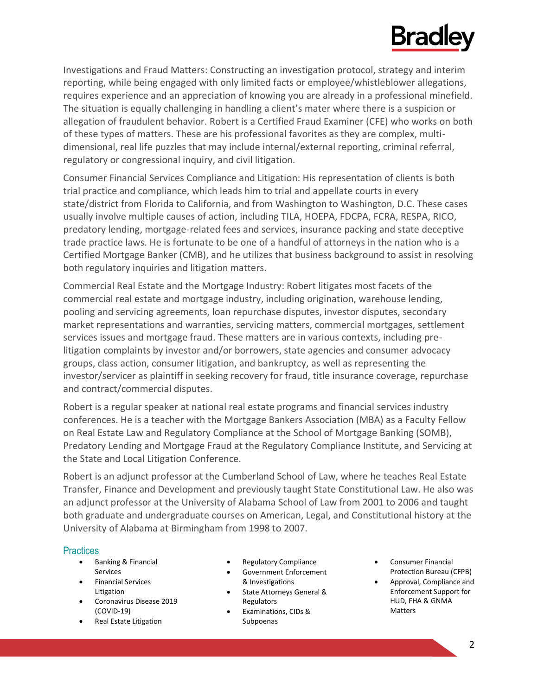

Investigations and Fraud Matters: Constructing an investigation protocol, strategy and interim reporting, while being engaged with only limited facts or employee/whistleblower allegations, requires experience and an appreciation of knowing you are already in a professional minefield. The situation is equally challenging in handling a client's mater where there is a suspicion or allegation of fraudulent behavior. Robert is a Certified Fraud Examiner (CFE) who works on both of these types of matters. These are his professional favorites as they are complex, multidimensional, real life puzzles that may include internal/external reporting, criminal referral, regulatory or congressional inquiry, and civil litigation.

Consumer Financial Services Compliance and Litigation: His representation of clients is both trial practice and compliance, which leads him to trial and appellate courts in every state/district from Florida to California, and from Washington to Washington, D.C. These cases usually involve multiple causes of action, including TILA, HOEPA, FDCPA, FCRA, RESPA, RICO, predatory lending, mortgage-related fees and services, insurance packing and state deceptive trade practice laws. He is fortunate to be one of a handful of attorneys in the nation who is a Certified Mortgage Banker (CMB), and he utilizes that business background to assist in resolving both regulatory inquiries and litigation matters.

Commercial Real Estate and the Mortgage Industry: Robert litigates most facets of the commercial real estate and mortgage industry, including origination, warehouse lending, pooling and servicing agreements, loan repurchase disputes, investor disputes, secondary market representations and warranties, servicing matters, commercial mortgages, settlement services issues and mortgage fraud. These matters are in various contexts, including prelitigation complaints by investor and/or borrowers, state agencies and consumer advocacy groups, class action, consumer litigation, and bankruptcy, as well as representing the investor/servicer as plaintiff in seeking recovery for fraud, title insurance coverage, repurchase and contract/commercial disputes.

Robert is a regular speaker at national real estate programs and financial services industry conferences. He is a teacher with the Mortgage Bankers Association (MBA) as a Faculty Fellow on Real Estate Law and Regulatory Compliance at the School of Mortgage Banking (SOMB), Predatory Lending and Mortgage Fraud at the Regulatory Compliance Institute, and Servicing at the State and Local Litigation Conference.

Robert is an adjunct professor at the Cumberland School of Law, where he teaches Real Estate Transfer, Finance and Development and previously taught State Constitutional Law. He also was an adjunct professor at the University of Alabama School of Law from 2001 to 2006 and taught both graduate and undergraduate courses on American, Legal, and Constitutional history at the University of Alabama at Birmingham from 1998 to 2007.

## **Practices**

- Banking & Financial
- Services • Financial Services Litigation
- Coronavirus Disease 2019 (COVID-19)
- Real Estate Litigation
- Regulatory Compliance
- Government Enforcement & Investigations
- State Attorneys General & Regulators
- Examinations, CIDs & Subpoenas
- Consumer Financial Protection Bureau (CFPB)
- Approval, Compliance and Enforcement Support for HUD, FHA & GNMA Matters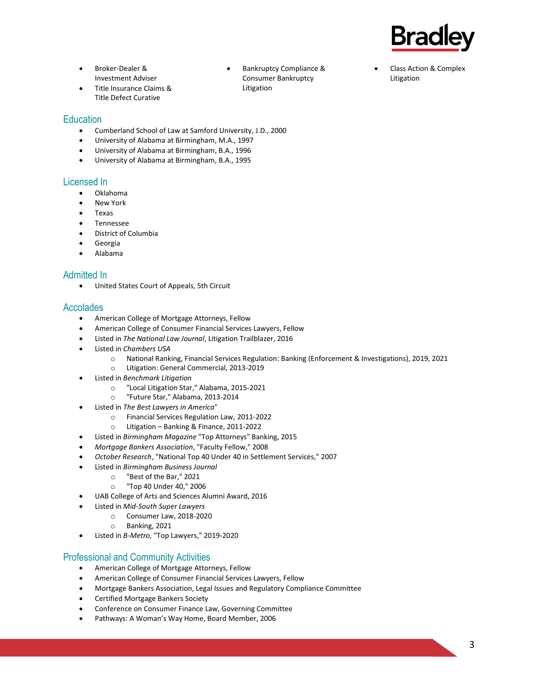

- Broker-Dealer & Investment Adviser
- Title Insurance Claims & Title Defect Curative
- Bankruptcy Compliance & Consumer Bankruptcy Litigation
- Class Action & Complex Litigation

# **Education**

- Cumberland School of Law at Samford University, J.D., 2000
- University of Alabama at Birmingham, M.A., 1997
- University of Alabama at Birmingham, B.A., 1996
- University of Alabama at Birmingham, B.A., 1995

# Licensed In

- Oklahoma
- New York
- Texas
- Tennessee
- District of Columbia
- **Georgia**
- Alabama

## Admitted In

• United States Court of Appeals, 5th Circuit

## Accolades

- American College of Mortgage Attorneys, Fellow
- American College of Consumer Financial Services Lawyers, Fellow
- Listed in *The National Law Journal*, Litigation Trailblazer, 2016
- Listed in *Chambers USA*
	- o National Ranking, Financial Services Regulation: Banking (Enforcement & Investigations), 2019, 2021
	- o Litigation: General Commercial, 2013-2019
- Listed in *Benchmark Litigation*
	- o "Local Litigation Star," Alabama, 2015-2021
	- o "Future Star," Alabama, 2013-2014
- Listed in *The Best Lawyers in America*®
	- o Financial Services Regulation Law, 2011-2022
	- o Litigation Banking & Finance, 2011-2022
- Listed in *Birmingham Magazine* "Top Attorneys" Banking, 2015
- *Mortgage Bankers Association*, "Faculty Fellow," 2008
- *October Research*, "National Top 40 Under 40 in Settlement Services," 2007
- Listed in *Birmingham Business Journal*
	- o "Best of the Bar," 2021
	- o "Top 40 Under 40," 2006
- UAB College of Arts and Sciences Alumni Award, 2016
- Listed in *Mid-South Super Lawyers*
	- o Consumer Law, 2018-2020
	- o Banking, 2021
- Listed in *B-Metro,* "Top Lawyers," 2019-2020

# Professional and Community Activities

- American College of Mortgage Attorneys, Fellow
- American College of Consumer Financial Services Lawyers, Fellow
- Mortgage Bankers Association, Legal Issues and Regulatory Compliance Committee
- Certified Mortgage Bankers Society
- Conference on Consumer Finance Law, Governing Committee
- Pathways: A Woman's Way Home, Board Member, 2006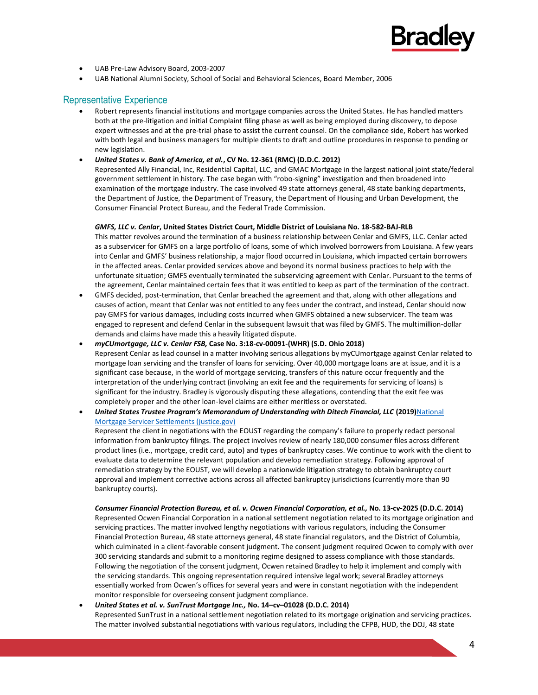

- UAB Pre-Law Advisory Board, 2003-2007
- UAB National Alumni Society, School of Social and Behavioral Sciences, Board Member, 2006

## Representative Experience

- Robert represents financial institutions and mortgage companies across the United States. He has handled matters both at the pre-litigation and initial Complaint filing phase as well as being employed during discovery, to depose expert witnesses and at the pre-trial phase to assist the current counsel. On the compliance side, Robert has worked with both legal and business managers for multiple clients to draft and outline procedures in response to pending or new legislation.
- *United States v. Bank of America, et al.***, CV No. 12-361 (RMC) (D.D.C. 2012)**

Represented Ally Financial, Inc, Residential Capital, LLC, and GMAC Mortgage in the largest national joint state/federal government settlement in history. The case began with "robo-signing" investigation and then broadened into examination of the mortgage industry. The case involved 49 state attorneys general, 48 state banking departments, the Department of Justice, the Department of Treasury, the Department of Housing and Urban Development, the Consumer Financial Protect Bureau, and the Federal Trade Commission.

#### *GMFS, LLC v. Cenlar***, United States District Court, Middle District of Louisiana No. 18-582-BAJ-RLB**

This matter revolves around the termination of a business relationship between Cenlar and GMFS, LLC. Cenlar acted as a subservicer for GMFS on a large portfolio of loans, some of which involved borrowers from Louisiana. A few years into Cenlar and GMFS' business relationship, a major flood occurred in Louisiana, which impacted certain borrowers in the affected areas. Cenlar provided services above and beyond its normal business practices to help with the unfortunate situation; GMFS eventually terminated the subservicing agreement with Cenlar. Pursuant to the terms of the agreement, Cenlar maintained certain fees that it was entitled to keep as part of the termination of the contract.

- GMFS decided, post-termination, that Cenlar breached the agreement and that, along with other allegations and causes of action, meant that Cenlar was not entitled to any fees under the contract, and instead, Cenlar should now pay GMFS for various damages, including costs incurred when GMFS obtained a new subservicer. The team was engaged to represent and defend Cenlar in the subsequent lawsuit that was filed by GMFS. The multimillion-dollar demands and claims have made this a heavily litigated dispute.
- *myCUmortgage, LLC v. Cenlar FSB,* **Case No. 3:18-cv-00091-(WHR) (S.D. Ohio 2018)** Represent Cenlar as lead counsel in a matter involving serious allegations by myCUmortgage against Cenlar related to mortgage loan servicing and the transfer of loans for servicing. Over 40,000 mortgage loans are at issue, and it is a significant case because, in the world of mortgage servicing, transfers of this nature occur frequently and the interpretation of the underlying contract (involving an exit fee and the requirements for servicing of loans) is significant for the industry. Bradley is vigorously disputing these allegations, contending that the exit fee was completely proper and the other loan-level claims are either meritless or overstated.
- *United States Trustee Program's Memorandum of Understanding with Ditech Financial, LLC* **(2019)**[National](https://www.justice.gov/ust/national-mortgage-settlements)  [Mortgage Servicer Settlements \(justice.gov\)](https://www.justice.gov/ust/national-mortgage-settlements) Represent the client in negotiations with the EOUST regarding the company's failure to properly redact personal information from bankruptcy filings. The project involves review of nearly 180,000 consumer files across different product lines (i.e., mortgage, credit card, auto) and types of bankruptcy cases. We continue to work with the client to

evaluate data to determine the relevant population and develop remediation strategy. Following approval of remediation strategy by the EOUST, we will develop a nationwide litigation strategy to obtain bankruptcy court approval and implement corrective actions across all affected bankruptcy jurisdictions (currently more than 90 bankruptcy courts).

*Consumer Financial Protection Bureau, et al. v. Ocwen Financial Corporation, et al.,* **No. 13-cv-2025 (D.D.C. 2014)** Represented Ocwen Financial Corporation in a national settlement negotiation related to its mortgage origination and servicing practices. The matter involved lengthy negotiations with various regulators, including the Consumer Financial Protection Bureau, 48 state attorneys general, 48 state financial regulators, and the District of Columbia, which culminated in a client-favorable consent judgment. The consent judgment required Ocwen to comply with over 300 servicing standards and submit to a monitoring regime designed to assess compliance with those standards. Following the negotiation of the consent judgment, Ocwen retained Bradley to help it implement and comply with the servicing standards. This ongoing representation required intensive legal work; several Bradley attorneys essentially worked from Ocwen's offices for several years and were in constant negotiation with the independent monitor responsible for overseeing consent judgment compliance.

• *United States et al. v. SunTrust Mortgage Inc.,* **No. 14–cv–01028 (D.D.C. 2014)** Represented SunTrust in a national settlement negotiation related to its mortgage origination and servicing practices. The matter involved substantial negotiations with various regulators, including the CFPB, HUD, the DOJ, 48 state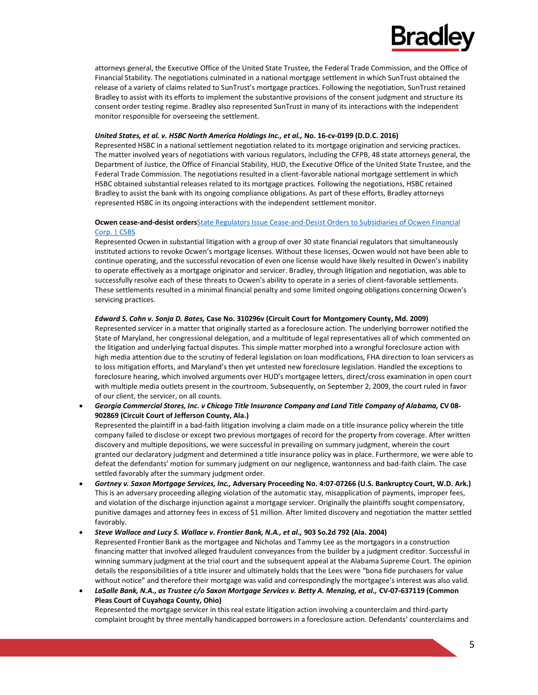

attorneys general, the Executive Office of the United State Trustee, the Federal Trade Commission, and the Office of Financial Stability. The negotiations culminated in a national mortgage settlement in which SunTrust obtained the release of a variety of claims related to SunTrust's mortgage practices. Following the negotiation, SunTrust retained Bradley to assist with its efforts to implement the substantive provisions of the consent judgment and structure its consent order testing regime. Bradley also represented SunTrust in many of its interactions with the independent monitor responsible for overseeing the settlement.

#### *United States, et al. v. HSBC North America Holdings Inc., et al.,* **No. 16-cv-0199 (D.D.C. 2016)**

Represented HSBC in a national settlement negotiation related to its mortgage origination and servicing practices. The matter involved years of negotiations with various regulators, including the CFPB, 48 state attorneys general, the Department of Justice, the Office of Financial Stability, HUD, the Executive Office of the United State Trustee, and the Federal Trade Commission. The negotiations resulted in a client-favorable national mortgage settlement in which HSBC obtained substantial releases related to its mortgage practices. Following the negotiations, HSBC retained Bradley to assist the bank with its ongoing compliance obligations. As part of these efforts, Bradley attorneys represented HSBC in its ongoing interactions with the independent settlement monitor.

#### **Ocwen cease-and-desist orders**[State Regulators Issue Cease-and-Desist Orders to Subsidiaries of Ocwen Financial](https://www.csbs.org/newsroom/state-regulators-issue-cease-and-desist-orders-subsidiaries-ocwen-financial-corp)  [Corp. | CSBS](https://www.csbs.org/newsroom/state-regulators-issue-cease-and-desist-orders-subsidiaries-ocwen-financial-corp)

Represented Ocwen in substantial litigation with a group of over 30 state financial regulators that simultaneously instituted actions to revoke Ocwen's mortgage licenses. Without these licenses, Ocwen would not have been able to continue operating, and the successful revocation of even one license would have likely resulted in Ocwen's inability to operate effectively as a mortgage originator and servicer. Bradley, through litigation and negotiation, was able to successfully resolve each of these threats to Ocwen's ability to operate in a series of client-favorable settlements. These settlements resulted in a minimal financial penalty and some limited ongoing obligations concerning Ocwen's servicing practices.

#### *Edward S. Cohn v. Sonja D. Bates,* **Case No. 310296v (Circuit Court for Montgomery County, Md. 2009)**

Represented servicer in a matter that originally started as a foreclosure action. The underlying borrower notified the State of Maryland, her congressional delegation, and a multitude of legal representatives all of which commented on the litigation and underlying factual disputes. This simple matter morphed into a wrongful foreclosure action with high media attention due to the scrutiny of federal legislation on loan modifications, FHA direction to loan servicers as to loss mitigation efforts, and Maryland's then yet untested new foreclosure legislation. Handled the exceptions to foreclosure hearing, which involved arguments over HUD's mortgagee letters, direct/cross examination in open court with multiple media outlets present in the courtroom. Subsequently, on September 2, 2009, the court ruled in favor of our client, the servicer, on all counts.

- *Georgia Commercial Stores, Inc. v Chicago Title Insurance Company and Land Title Company of Alabama,* **CV 08- 902869 (Circuit Court of Jefferson County, Ala.)** Represented the plaintiff in a bad-faith litigation involving a claim made on a title insurance policy wherein the title company failed to disclose or except two previous mortgages of record for the property from coverage. After written discovery and multiple depositions, we were successful in prevailing on summary judgment, wherein the court granted our declaratory judgment and determined a title insurance policy was in place. Furthermore, we were able to defeat the defendants' motion for summary judgment on our negligence, wantonness and bad-faith claim. The case settled favorably after the summary judgment order.
- *Gortney v. Saxon Mortgage Services, Inc.,* **Adversary Proceeding No. 4:07-07266 (U.S. Bankruptcy Court, W.D. Ark.)** This is an adversary proceeding alleging violation of the automatic stay, misapplication of payments, improper fees, and violation of the discharge injunction against a mortgage servicer. Originally the plaintiffs sought compensatory, punitive damages and attorney fees in excess of \$1 million. After limited discovery and negotiation the matter settled favorably.

## • *Steve Wallace and Lucy S. Wallace v. Frontier Bank, N.A., et al.,* **903 So.2d 792 (Ala. 2004)** Represented Frontier Bank as the mortgagee and Nicholas and Tammy Lee as the mortgagors in a construction financing matter that involved alleged fraudulent conveyances from the builder by a judgment creditor. Successful in winning summary judgment at the trial court and the subsequent appeal at the Alabama Supreme Court. The opinion details the responsibilities of a title insurer and ultimately holds that the Lees were "bona fide purchasers for value without notice" and therefore their mortgage was valid and correspondingly the mortgagee's interest was also valid.

• *LaSalle Bank, N.A., as Trustee c/o Saxon Mortgage Services v. Betty A. Menzing, et al.,* **CV-07-637119 (Common Pleas Court of Cuyahoga County, Ohio)** Represented the mortgage servicer in this real estate litigation action involving a counterclaim and third-party complaint brought by three mentally handicapped borrowers in a foreclosure action. Defendants' counterclaims and